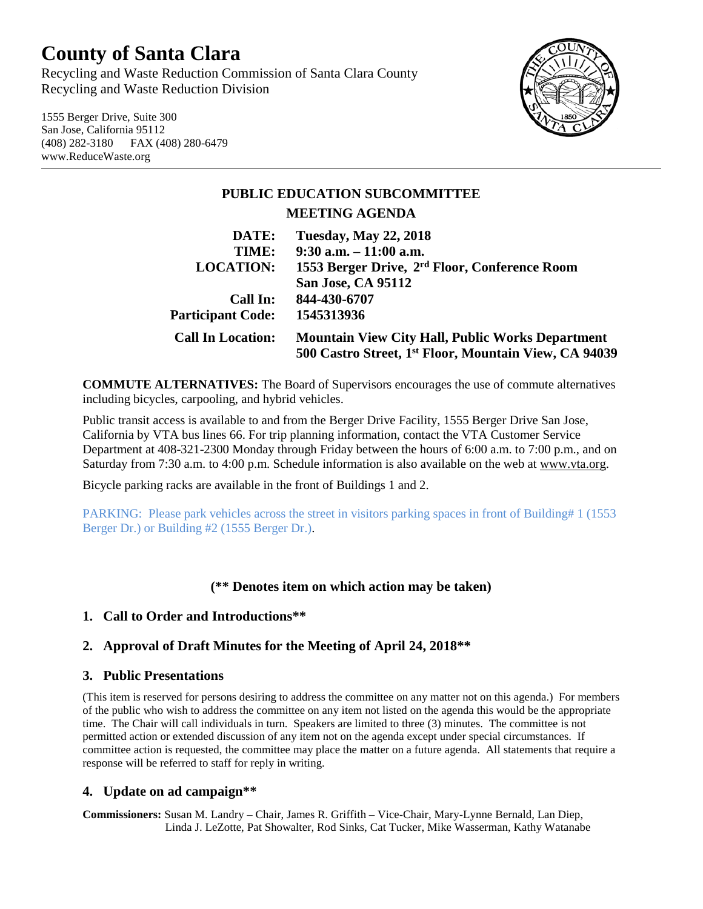# **County of Santa Clara**

Recycling and Waste Reduction Commission of Santa Clara County Recycling and Waste Reduction Division

1555 Berger Drive, Suite 300 San Jose, California 95112 (408) 282-3180 FAX (408) 280-6479 www.ReduceWaste.org



## **PUBLIC EDUCATION SUBCOMMITTEE MEETING AGENDA**

| DATE:                    | <b>Tuesday, May 22, 2018</b>                                                                                     |
|--------------------------|------------------------------------------------------------------------------------------------------------------|
| TIME:                    | $9:30$ a.m. $-11:00$ a.m.                                                                                        |
| <b>LOCATION:</b>         | 1553 Berger Drive, 2 <sup>rd</sup> Floor, Conference Room                                                        |
|                          | San Jose, CA 95112                                                                                               |
| Call In:                 | 844-430-6707                                                                                                     |
| <b>Participant Code:</b> | 1545313936                                                                                                       |
| <b>Call In Location:</b> | <b>Mountain View City Hall, Public Works Department</b><br>500 Castro Street, 1st Floor, Mountain View, CA 94039 |

**COMMUTE ALTERNATIVES:** The Board of Supervisors encourages the use of commute alternatives including bicycles, carpooling, and hybrid vehicles.

Public transit access is available to and from the Berger Drive Facility, 1555 Berger Drive San Jose, California by VTA bus lines 66. For trip planning information, contact the VTA Customer Service Department at 408-321-2300 Monday through Friday between the hours of 6:00 a.m. to 7:00 p.m., and on Saturday from 7:30 a.m. to 4:00 p.m. Schedule information is also available on the web at [www.vta.org.](http://www.vta.org/)

Bicycle parking racks are available in the front of Buildings 1 and 2.

PARKING: Please park vehicles across the street in visitors parking spaces in front of Building# 1 (1553 Berger Dr.) or Building #2 (1555 Berger Dr.).

### **(\*\* Denotes item on which action may be taken)**

#### **1. Call to Order and Introductions\*\***

#### **2. Approval of Draft Minutes for the Meeting of April 24, 2018\*\***

#### **3. Public Presentations**

(This item is reserved for persons desiring to address the committee on any matter not on this agenda.) For members of the public who wish to address the committee on any item not listed on the agenda this would be the appropriate time. The Chair will call individuals in turn. Speakers are limited to three (3) minutes. The committee is not permitted action or extended discussion of any item not on the agenda except under special circumstances. If committee action is requested, the committee may place the matter on a future agenda. All statements that require a response will be referred to staff for reply in writing.

#### **4. Update on ad campaign\*\***

**Commissioners:** Susan M. Landry – Chair, James R. Griffith – Vice-Chair, Mary-Lynne Bernald, Lan Diep, Linda J. LeZotte, Pat Showalter, Rod Sinks, Cat Tucker, Mike Wasserman, Kathy Watanabe